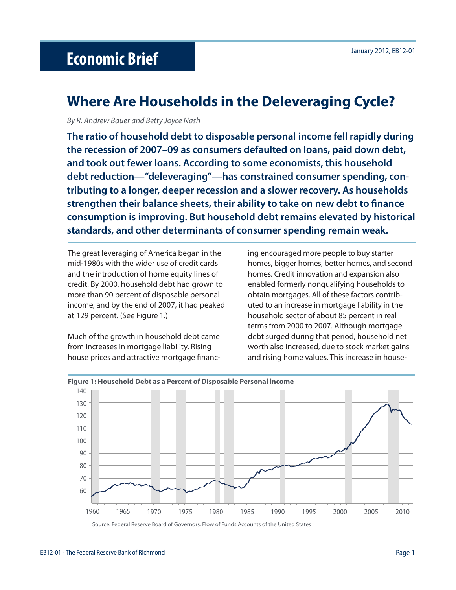# January 2012, EB12-01 **Economic Brief**

# **Where Are Households in the Deleveraging Cycle?**

By R. Andrew Bauer and Betty Joyce Nash

**The ratio of household debt to disposable personal income fell rapidly during the recession of 2007–09 as consumers defaulted on loans, paid down debt, and took out fewer loans. According to some economists, this household debt reduction—"deleveraging"—has constrained consumer spending, contributing to a longer, deeper recession and a slower recovery. As households**  strengthen their balance sheets, their ability to take on new debt to finance **consumption is improving. But household debt remains elevated by historical standards, and other determinants of consumer spending remain weak.** 

The great leveraging of America began in the mid-1980s with the wider use of credit cards and the introduction of home equity lines of credit. By 2000, household debt had grown to more than 90 percent of disposable personal income, and by the end of 2007, it had peaked at 129 percent. (See Figure 1.)

Much of the growth in household debt came from increases in mortgage liability. Rising house prices and attractive mortgage financing encouraged more people to buy starter homes, bigger homes, better homes, and second homes. Credit innovation and expansion also enabled formerly nonqualifying households to obtain mortgages. All of these factors contributed to an increase in mortgage liability in the household sector of about 85 percent in real terms from 2000 to 2007. Although mortgage debt surged during that period, household net worth also increased, due to stock market gains and rising home values. This increase in house-



#### **Figure 1: Household Debt as a Percent of Disposable Personal lncome**

Source: Federal Reserve Board of Governors, Flow of Funds Accounts of the United States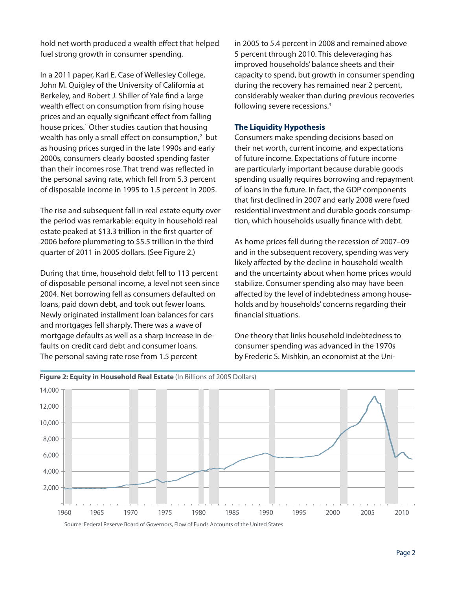hold net worth produced a wealth effect that helped fuel strong growth in consumer spending.

In a 2011 paper, Karl E. Case of Wellesley College, John M. Quigley of the University of California at Berkeley, and Robert J. Shiller of Yale find a large wealth effect on consumption from rising house prices and an equally significant effect from falling house prices.<sup>1</sup> Other studies caution that housing wealth has only a small effect on consumption, $2$  but as housing prices surged in the late 1990s and early 2000s, consumers clearly boosted spending faster than their incomes rose. That trend was reflected in the personal saving rate, which fell from 5.3 percent of disposable income in 1995 to 1.5 percent in 2005.

The rise and subsequent fall in real estate equity over the period was remarkable: equity in household real estate peaked at \$13.3 trillion in the first quarter of 2006 before plummeting to \$5.5 trillion in the third quarter of 2011 in 2005 dollars. (See Figure 2.)

During that time, household debt fell to 113 percent of disposable personal income, a level not seen since 2004. Net borrowing fell as consumers defaulted on loans, paid down debt, and took out fewer loans. Newly originated installment loan balances for cars and mortgages fell sharply. There was a wave of mortgage defaults as well as a sharp increase in defaults on credit card debt and consumer loans. The personal saving rate rose from 1.5 percent

in 2005 to 5.4 percent in 2008 and remained above 5 percent through 2010. This deleveraging has improved households' balance sheets and their capacity to spend, but growth in consumer spending during the recovery has remained near 2 percent, considerably weaker than during previous recoveries following severe recessions.3

## **The Liquidity Hypothesis**

Consumers make spending decisions based on their net worth, current income, and expectations of future income. Expectations of future income are particularly important because durable goods spending usually requires borrowing and repayment of loans in the future. In fact, the GDP components that first declined in 2007 and early 2008 were fixed residential investment and durable goods consumption, which households usually finance with debt.

As home prices fell during the recession of 2007–09 and in the subsequent recovery, spending was very likely affected by the decline in household wealth and the uncertainty about when home prices would stabilize. Consumer spending also may have been affected by the level of indebtedness among households and by households' concerns regarding their financial situations.

One theory that links household indebtedness to consumer spending was advanced in the 1970s by Frederic S. Mishkin, an economist at the Uni-



**Figure 2: Equity in Household Real Estate** (In Billions of 2005 Dollars)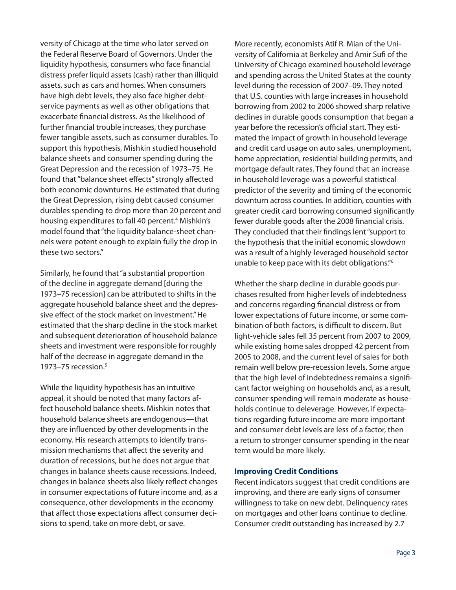versity of Chicago at the time who later served on the Federal Reserve Board of Governors. Under the liquidity hypothesis, consumers who face financial distress prefer liquid assets (cash) rather than illiquid assets, such as cars and homes. When consumers have high debt levels, they also face higher debtservice payments as well as other obligations that exacerbate financial distress. As the likelihood of further financial trouble increases, they purchase fewer tangible assets, such as consumer durables. To support this hypothesis, Mishkin studied household balance sheets and consumer spending during the Great Depression and the recession of 1973–75. He found that "balance sheet effects" strongly affected both economic downturns. He estimated that during the Great Depression, rising debt caused consumer durables spending to drop more than 20 percent and housing expenditures to fall 40 percent.<sup>4</sup> Mishkin's model found that "the liquidity balance-sheet channels were potent enough to explain fully the drop in these two sectors."

Similarly, he found that "a substantial proportion of the decline in aggregate demand [during the 1973–75 recession] can be attributed to shifts in the aggregate household balance sheet and the depressive effect of the stock market on investment." He estimated that the sharp decline in the stock market and subsequent deterioration of household balance sheets and investment were responsible for roughly half of the decrease in aggregate demand in the 1973–75 recession.5

While the liquidity hypothesis has an intuitive appeal, it should be noted that many factors affect household balance sheets. Mishkin notes that household balance sheets are endogenous—that they are influenced by other developments in the economy. His research attempts to identify transmission mechanisms that affect the severity and duration of recessions, but he does not argue that changes in balance sheets cause recessions. Indeed, changes in balance sheets also likely reflect changes in consumer expectations of future income and, as a consequence, other developments in the economy that affect those expectations affect consumer decisions to spend, take on more debt, or save.

More recently, economists Atif R. Mian of the University of California at Berkeley and Amir Sufi of the University of Chicago examined household leverage and spending across the United States at the county level during the recession of 2007–09. They noted that U.S. counties with large increases in household borrowing from 2002 to 2006 showed sharp relative declines in durable goods consumption that began a year before the recession's official start. They estimated the impact of growth in household leverage and credit card usage on auto sales, unemployment, home appreciation, residential building permits, and mortgage default rates. They found that an increase in household leverage was a powerful statistical predictor of the severity and timing of the economic downturn across counties. In addition, counties with greater credit card borrowing consumed significantly fewer durable goods after the 2008 financial crisis. They concluded that their findings lent "support to the hypothesis that the initial economic slowdown was a result of a highly-leveraged household sector unable to keep pace with its debt obligations."6

Whether the sharp decline in durable goods purchases resulted from higher levels of indebtedness and concerns regarding financial distress or from lower expectations of future income, or some combination of both factors, is difficult to discern. But light-vehicle sales fell 35 percent from 2007 to 2009, while existing home sales dropped 42 percent from 2005 to 2008, and the current level of sales for both remain well below pre-recession levels. Some argue that the high level of indebtedness remains a significant factor weighing on households and, as a result, consumer spending will remain moderate as households continue to deleverage. However, if expectations regarding future income are more important and consumer debt levels are less of a factor, then a return to stronger consumer spending in the near term would be more likely.

#### **Improving Credit Conditions**

Recent indicators suggest that credit conditions are improving, and there are early signs of consumer willingness to take on new debt. Delinquency rates on mortgages and other loans continue to decline. Consumer credit outstanding has increased by 2.7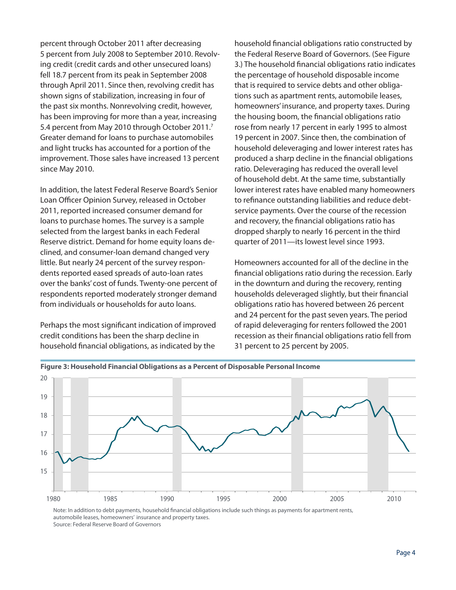percent through October 2011 after decreasing 5 percent from July 2008 to September 2010. Revolving credit (credit cards and other unsecured loans) fell 18.7 percent from its peak in September 2008 through April 2011. Since then, revolving credit has shown signs of stabilization, increasing in four of the past six months. Nonrevolving credit, however, has been improving for more than a year, increasing 5.4 percent from May 2010 through October 2011.<sup>7</sup> Greater demand for loans to purchase automobiles and light trucks has accounted for a portion of the improvement. Those sales have increased 13 percent since May 2010.

In addition, the latest Federal Reserve Board's Senior Loan Officer Opinion Survey, released in October 2011, reported increased consumer demand for loans to purchase homes. The survey is a sample selected from the largest banks in each Federal Reserve district. Demand for home equity loans declined, and consumer-loan demand changed very little. But nearly 24 percent of the survey respondents reported eased spreads of auto-loan rates over the banks' cost of funds. Twenty-one percent of respondents reported moderately stronger demand from individuals or households for auto loans.

Perhaps the most significant indication of improved credit conditions has been the sharp decline in household financial obligations, as indicated by the

household financial obligations ratio constructed by the Federal Reserve Board of Governors. (See Figure 3.) The household financial obligations ratio indicates the percentage of household disposable income that is required to service debts and other obligations such as apartment rents, automobile leases, homeowners' insurance, and property taxes. During the housing boom, the financial obligations ratio rose from nearly 17 percent in early 1995 to almost 19 percent in 2007. Since then, the combination of household deleveraging and lower interest rates has produced a sharp decline in the financial obligations ratio. Deleveraging has reduced the overall level of household debt. At the same time, substantially lower interest rates have enabled many homeowners to refinance outstanding liabilities and reduce debtservice payments. Over the course of the recession and recovery, the financial obligations ratio has dropped sharply to nearly 16 percent in the third quarter of 2011—its lowest level since 1993.

Homeowners accounted for all of the decline in the financial obligations ratio during the recession. Early in the downturn and during the recovery, renting households deleveraged slightly, but their financial obligations ratio has hovered between 26 percent and 24 percent for the past seven years. The period of rapid deleveraging for renters followed the 2001 recession as their financial obligations ratio fell from 31 percent to 25 percent by 2005.



Note: In addition to debt payments, household financial obligations include such things as payments for apartment rents, automobile leases, homeowners' insurance and property taxes. Source: Federal Reserve Board of Governors